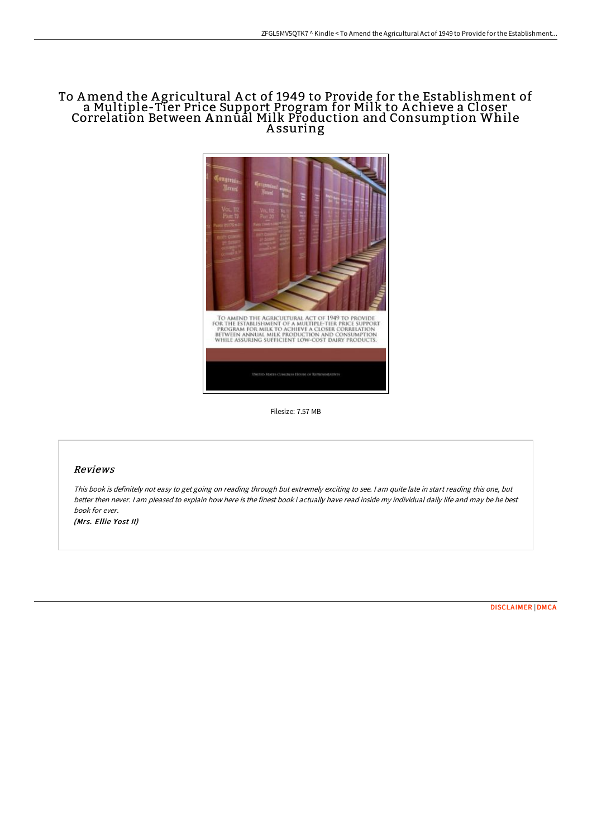## To Amend the A gricultural A ct of 1949 to Provide for the Establishment of a Multiple-Tier Price Support Program for Milk to A chieve a Closer Correlation Between Annūal Milk Production and Consumption While A ssuring



Filesize: 7.57 MB

## Reviews

This book is definitely not easy to get going on reading through but extremely exciting to see. <sup>I</sup> am quite late in start reading this one, but better then never. I am pleased to explain how here is the finest book i actually have read inside my individual daily life and may be he best book for ever. (Mrs. Ellie Yost II)

[DISCLAIMER](http://digilib.live/disclaimer.html) | [DMCA](http://digilib.live/dmca.html)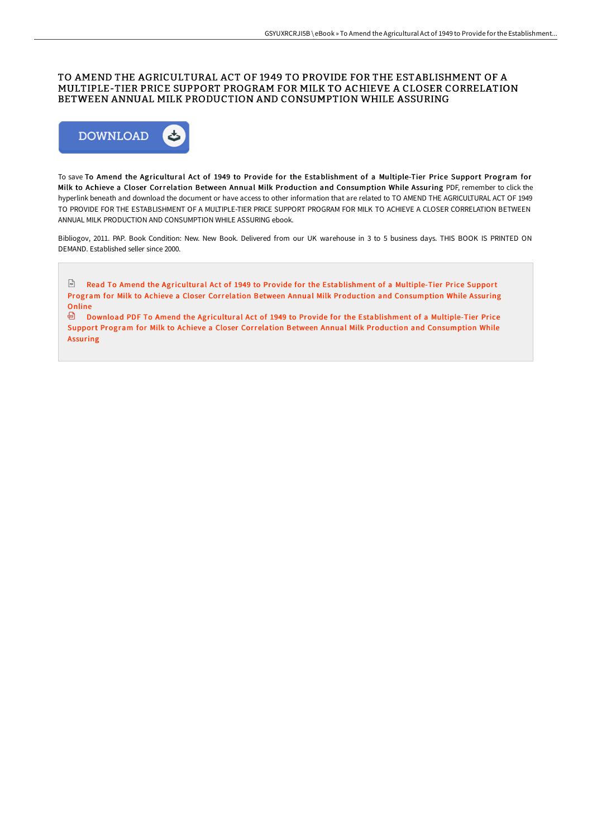## TO AMEND THE AGRICULTURAL ACT OF 1949 TO PROVIDE FOR THE ESTABLISHMENT OF A MULTIPLE-TIER PRICE SUPPORT PROGRAM FOR MILK TO ACHIEVE A CLOSER CORRELATION BETWEEN ANNUAL MILK PRODUCTION AND CONSUMPTION WHILE ASSURING



To save To Amend the Agricultural Act of 1949 to Provide for the Establishment of a Multiple-Tier Price Support Program for Milk to Achieve a Closer Correlation Between Annual Milk Production and Consumption While Assuring PDF, remember to click the hyperlink beneath and download the document or have access to other information that are related to TO AMEND THE AGRICULTURAL ACT OF 1949 TO PROVIDE FOR THE ESTABLISHMENT OF A MULTIPLE-TIER PRICE SUPPORT PROGRAM FOR MILK TO ACHIEVE A CLOSER CORRELATION BETWEEN ANNUAL MILK PRODUCTION AND CONSUMPTION WHILE ASSURING ebook.

Bibliogov, 2011. PAP. Book Condition: New. New Book. Delivered from our UK warehouse in 3 to 5 business days. THIS BOOK IS PRINTED ON DEMAND. Established seller since 2000.

Read To Amend the Agricultural Act of 1949 to Provide for the [Establishment](http://digilib.live/to-amend-the-agricultural-act-of-1949-to-provide.html) of a Multiple-Tier Price Support Program for Milk to Achieve a Closer Correlation Between Annual Milk Production and Consumption While Assuring Online

Download PDF To Amend the Agricultural Act of 1949 to Provide for the [Establishment](http://digilib.live/to-amend-the-agricultural-act-of-1949-to-provide.html) of a Multiple-Tier Price Support Program for Milk to Achieve a Closer Correlation Between Annual Milk Production and Consumption While Assuring